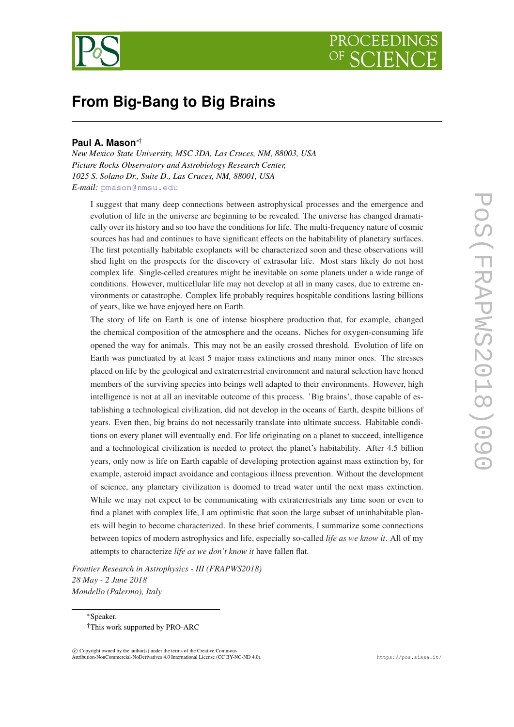

# **From Big-Bang to Big Brains**

# **Paul A. Mason**∗†

*New Mexico State University, MSC 3DA, Las Cruces, NM, 88003, USA Picture Rocks Observatory and Astrobiology Research Center, 1025 S. Solano Dr., Suite D., Las Cruces, NM, 88001, USA E-mail:* [pmason@nmsu.edu](mailto:pmason@nmsu.edu)

I suggest that many deep connections between astrophysical processes and the emergence and evolution of life in the universe are beginning to be revealed. The universe has changed dramatically over its history and so too have the conditions for life. The multi-frequency nature of cosmic sources has had and continues to have significant effects on the habitability of planetary surfaces. The first potentially habitable exoplanets will be characterized soon and these observations will shed light on the prospects for the discovery of extrasolar life. Most stars likely do not host complex life. Single-celled creatures might be inevitable on some planets under a wide range of conditions. However, multicellular life may not develop at all in many cases, due to extreme environments or catastrophe. Complex life probably requires hospitable conditions lasting billions of years, like we have enjoyed here on Earth.

The story of life on Earth is one of intense biosphere production that, for example, changed the chemical composition of the atmosphere and the oceans. Niches for oxygen-consuming life opened the way for animals. This may not be an easily crossed threshold. Evolution of life on Earth was punctuated by at least 5 major mass extinctions and many minor ones. The stresses placed on life by the geological and extraterrestrial environment and natural selection have honed members of the surviving species into beings well adapted to their environments. However, high intelligence is not at all an inevitable outcome of this process. 'Big brains', those capable of establishing a technological civilization, did not develop in the oceans of Earth, despite billions of years. Even then, big brains do not necessarily translate into ultimate success. Habitable conditions on every planet will eventually end. For life originating on a planet to succeed, intelligence and a technological civilization is needed to protect the planet's habitability. After 4.5 billion years, only now is life on Earth capable of developing protection against mass extinction by, for example, asteroid impact avoidance and contagious illness prevention. Without the development of science, any planetary civilization is doomed to tread water until the next mass extinction. While we may not expect to be communicating with extraterrestrials any time soon or even to find a planet with complex life, I am optimistic that soon the large subset of uninhabitable planets will begin to become characterized. In these brief comments, I summarize some connections between topics of modern astrophysics and life, especially so-called *life as we know it*. All of my attempts to characterize *life as we don't know it* have fallen flat.

*Frontier Research in Astrophysics - III (FRAPWS2018) 28 May - 2 June 2018 Mondello (Palermo), Italy*

<sup>∗</sup>Speaker. †This work supported by PRO-ARC

 $(C)$  Copyright owned by the author(s) under the terms of the Creative Commons Attribution-NonCommercial-NoDerivatives 4.0 International License (CC BY-NC-ND 4.0). https://pos.sissa.it/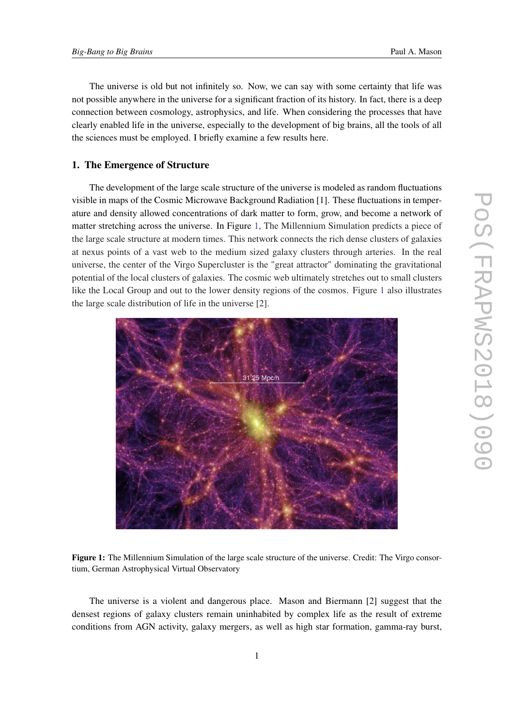The universe is old but not infinitely so. Now, we can say with some certainty that life was not possible anywhere in the universe for a significant fraction of its history. In fact, there is a deep connection between cosmology, astrophysics, and life. When considering the processes that have clearly enabled life in the universe, especially to the development of big brains, all the tools of all the sciences must be employed. I briefly examine a few results here.

# 1. The Emergence of Structure

The development of the large scale structure of the universe is modeled as random fluctuations visible in maps of the Cosmic Microwave Background Radiation [1]. These fluctuations in temperature and density allowed concentrations of dark matter to form, grow, and become a network of matter stretching across the universe. In Figure 1, The Millennium Simulation predicts a piece of the large scale structure at modern times. This network connects the rich dense clusters of galaxies at nexus points of a vast web to the medium sized galaxy clusters through arteries. In the real universe, the center of the Virgo Supercluster is the "great attractor" dominating the gravitational potential of the local clusters of galaxies. The cosmic web ultimately stretches out to small clusters like the Local Group and out to the lower density regions of the cosmos. Figure 1 also illustrates the large scale distribution of life in the universe [2].



Figure 1: The Millennium Simulation of the large scale structure of the universe. Credit: The Virgo consortium, German Astrophysical Virtual Observatory

The universe is a violent and dangerous place. Mason and Biermann [2] suggest that the densest regions of galaxy clusters remain uninhabited by complex life as the result of extreme conditions from AGN activity, galaxy mergers, as well as high star formation, gamma-ray burst,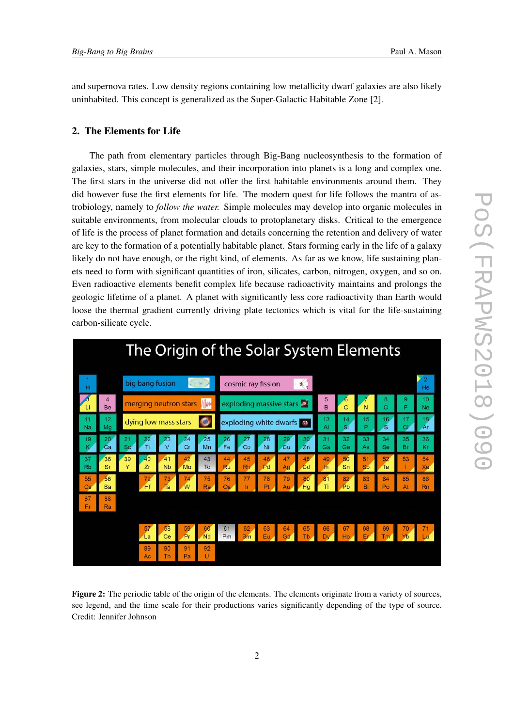<span id="page-2-0"></span>and supernova rates. Low density regions containing low metallicity dwarf galaxies are also likely uninhabited. This concept is generalized as the Super-Galactic Habitable Zone [2].

## 2. The Elements for Life

The path from elementary particles through Big-Bang nucleosynthesis to the formation of galaxies, stars, simple molecules, and their incorporation into planets is a long and complex one. The first stars in the universe did not offer the first habitable environments around them. They did however fuse the first elements for life. The modern quest for life follows the mantra of astrobiology, namely to *follow the water.* Simple molecules may develop into organic molecules in suitable environments, from molecular clouds to protoplanetary disks. Critical to the emergence of life is the process of planet formation and details concerning the retention and delivery of water are key to the formation of a potentially habitable planet. Stars forming early in the life of a galaxy likely do not have enough, or the right kind, of elements. As far as we know, life sustaining planets need to form with significant quantities of iron, silicates, carbon, nitrogen, oxygen, and so on. Even radioactive elements benefit complex life because radioactivity maintains and prolongs the geologic lifetime of a planet. A planet with significantly less core radioactivity than Earth would loose the thermal gradient currently driving plate tectonics which is vital for the life-sustaining carbon-silicate cycle.

|                 | The Origin of the Solar System Elements |                                    |                 |                            |          |          |                             |          |          |          |          |                     |          |                 |                 |          |                      |
|-----------------|-----------------------------------------|------------------------------------|-----------------|----------------------------|----------|----------|-----------------------------|----------|----------|----------|----------|---------------------|----------|-----------------|-----------------|----------|----------------------|
| н               |                                         |                                    | big bang fusion |                            |          |          | $-84$<br>cosmic ray fission |          |          |          |          |                     |          |                 |                 |          | $\overline{2}$<br>He |
| Li              | $\overline{4}$<br>Be                    | <b>MW</b><br>merging neutron stars |                 |                            |          |          | exploding massive stars of  |          |          |          |          | 5<br>B              | 6<br>Ċ   | N               | 8<br>Ō          | 9<br>F   | 10<br><b>Ne</b>      |
| Na              | 12<br>Ma                                | dying low mass stars<br>O          |                 |                            |          |          | exploding white dwarfs      |          |          |          |          | 13<br>AI            | 14<br>Si | 15<br>Þ         | 16<br>S         | 17<br>CI | 18<br>Ar             |
| 19              | 20<br>Ca                                | 21<br><b>Sc</b>                    | 22<br>Ti        | 23                         | 24<br>Cr | 25<br>Mn | 26<br>Fe                    | Co       | 28<br>Ni | 29<br>Cu | 30<br>Zn | 31<br>Ga            | 32<br>Ge | 33<br>As        | 34<br><b>Se</b> | 35<br>Br | 36<br>Кr             |
| 37<br><b>Rb</b> | 38<br>Sr                                | 39<br>Y                            | 40<br>Zr        | 41<br><b>N<sub>b</sub></b> | 42<br>Mo | 43<br>Tc | 44<br>Ru                    | 45<br>Rh | 46<br>Pd | 47<br>Ag | 48<br>Cd | 49<br>$\mathsf{In}$ | 50<br>Sn | 51<br><b>Sb</b> | 52<br>Te        | 53       | 54<br>Xe             |
| 55<br>Cs        | 56<br>Ba                                |                                    | 72<br>Hf        | 73<br>Ta                   | 74<br>W  | 75<br>Re | 76<br>Os                    | 77<br>Ir | 78<br>Pt | 79<br>Au | 80<br>Hg | 81<br>TI            | 82<br>Pb | 83<br>Bi        | 84<br>Po        | 85<br>At | 86<br><b>Rn</b>      |
| 87<br>Er        | 88<br>Ra                                |                                    |                 |                            |          |          |                             |          |          |          |          |                     |          |                 |                 |          |                      |
|                 |                                         |                                    | 57              | 58                         | 59       | 60       | 61                          | 62       | 63       | 64       | 65       | 66                  | 67       | 68              | 69              | 70       | 71                   |
|                 |                                         |                                    | La              | Ce                         | Pr       | Nd       | Pm                          | Sm       | Eu       | Gd       | Tb       | Dy                  | Ho       | Er              | Tm              | Yb       | Lu                   |
|                 |                                         |                                    | 89<br>Ac        | 90<br>Th                   | 91<br>Pa | 92<br>u  |                             |          |          |          |          |                     |          |                 |                 |          |                      |

Figure 2: The periodic table of the origin of the elements. The elements originate from a variety of sources, see legend, and the time scale for their productions varies significantly depending of the type of source. Credit: Jennifer Johnson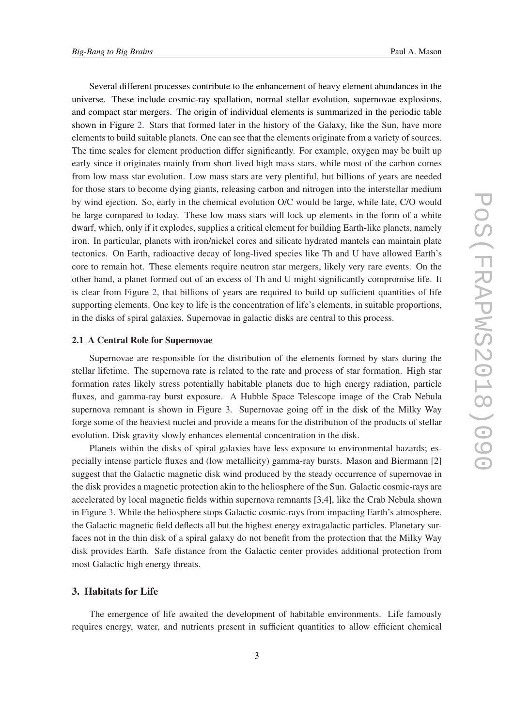Several different processes contribute to the enhancement of heavy element abundances in the universe. These include cosmic-ray spallation, normal stellar evolution, supernovae explosions, and compact star mergers. The origin of individual elements is summarized in the periodic table shown in Figure [2.](#page-2-0) Stars that formed later in the history of the Galaxy, like the Sun, have more elements to build suitable planets. One can see that the elements originate from a variety of sources. The time scales for element production differ significantly. For example, oxygen may be built up early since it originates mainly from short lived high mass stars, while most of the carbon comes from low mass star evolution. Low mass stars are very plentiful, but billions of years are needed for those stars to become dying giants, releasing carbon and nitrogen into the interstellar medium by wind ejection. So, early in the chemical evolution O/C would be large, while late, C/O would be large compared to today. These low mass stars will lock up elements in the form of a white dwarf, which, only if it explodes, supplies a critical element for building Earth-like planets, namely iron. In particular, planets with iron/nickel cores and silicate hydrated mantels can maintain plate tectonics. On Earth, radioactive decay of long-lived species like Th and U have allowed Earth's core to remain hot. These elements require neutron star mergers, likely very rare events. On the other hand, a planet formed out of an excess of Th and U might significantly compromise life. It is clear from Figure [2,](#page-2-0) that billions of years are required to build up sufficient quantities of life supporting elements. One key to life is the concentration of life's elements, in suitable proportions, in the disks of spiral galaxies. Supernovae in galactic disks are central to this process.

#### 2.1 A Central Role for Supernovae

Supernovae are responsible for the distribution of the elements formed by stars during the stellar lifetime. The supernova rate is related to the rate and process of star formation. High star formation rates likely stress potentially habitable planets due to high energy radiation, particle fluxes, and gamma-ray burst exposure. A Hubble Space Telescope image of the Crab Nebula supernova remnant is shown in Figure [3.](#page-4-0) Supernovae going off in the disk of the Milky Way forge some of the heaviest nuclei and provide a means for the distribution of the products of stellar evolution. Disk gravity slowly enhances elemental concentration in the disk.

Planets within the disks of spiral galaxies have less exposure to environmental hazards; especially intense particle fluxes and (low metallicity) gamma-ray bursts. Mason and Biermann [2] suggest that the Galactic magnetic disk wind produced by the steady occurrence of supernovae in the disk provides a magnetic protection akin to the heliosphere of the Sun. Galactic cosmic-rays are accelerated by local magnetic fields within supernova remnants [3,4], like the Crab Nebula shown in Figure [3](#page-4-0). While the heliosphere stops Galactic cosmic-rays from impacting Earth's atmosphere, the Galactic magnetic field deflects all but the highest energy extragalactic particles. Planetary surfaces not in the thin disk of a spiral galaxy do not benefit from the protection that the Milky Way disk provides Earth. Safe distance from the Galactic center provides additional protection from most Galactic high energy threats.

# 3. Habitats for Life

The emergence of life awaited the development of habitable environments. Life famously requires energy, water, and nutrients present in sufficient quantities to allow efficient chemical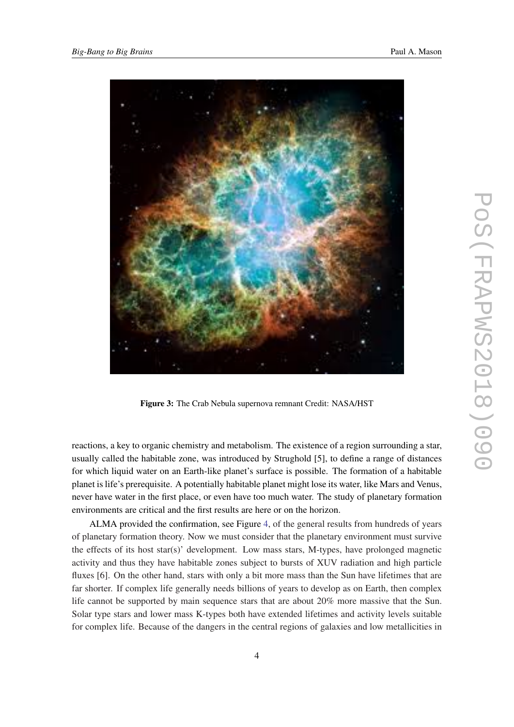<span id="page-4-0"></span>

Figure 3: The Crab Nebula supernova remnant Credit: NASA/HST

reactions, a key to organic chemistry and metabolism. The existence of a region surrounding a star, usually called the habitable zone, was introduced by Strughold [5], to define a range of distances for which liquid water on an Earth-like planet's surface is possible. The formation of a habitable planet is life's prerequisite. A potentially habitable planet might lose its water, like Mars and Venus, never have water in the first place, or even have too much water. The study of planetary formation environments are critical and the first results are here or on the horizon.

ALMA provided the confirmation, see Figure [4,](#page-5-0) of the general results from hundreds of years of planetary formation theory. Now we must consider that the planetary environment must survive the effects of its host star(s)' development. Low mass stars, M-types, have prolonged magnetic activity and thus they have habitable zones subject to bursts of XUV radiation and high particle fluxes [6]. On the other hand, stars with only a bit more mass than the Sun have lifetimes that are far shorter. If complex life generally needs billions of years to develop as on Earth, then complex life cannot be supported by main sequence stars that are about 20% more massive that the Sun. Solar type stars and lower mass K-types both have extended lifetimes and activity levels suitable for complex life. Because of the dangers in the central regions of galaxies and low metallicities in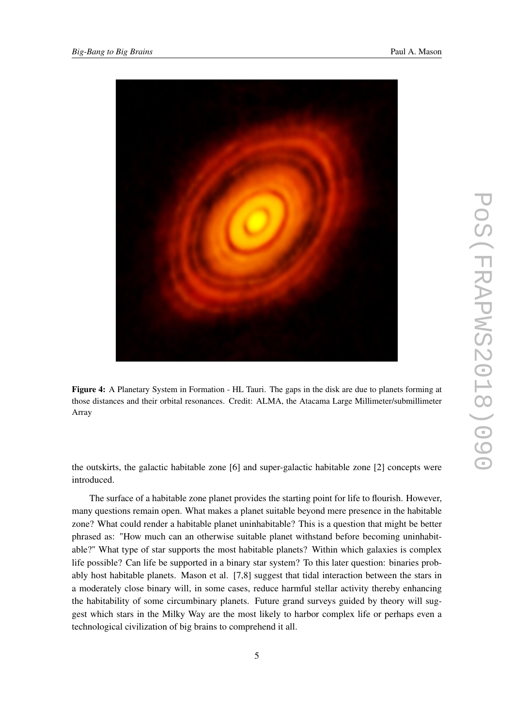<span id="page-5-0"></span>

Figure 4: A Planetary System in Formation - HL Tauri. The gaps in the disk are due to planets forming at those distances and their orbital resonances. Credit: ALMA, the Atacama Large Millimeter/submillimeter Array

the outskirts, the galactic habitable zone [6] and super-galactic habitable zone [2] concepts were introduced.

The surface of a habitable zone planet provides the starting point for life to flourish. However, many questions remain open. What makes a planet suitable beyond mere presence in the habitable zone? What could render a habitable planet uninhabitable? This is a question that might be better phrased as: "How much can an otherwise suitable planet withstand before becoming uninhabitable?" What type of star supports the most habitable planets? Within which galaxies is complex life possible? Can life be supported in a binary star system? To this later question: binaries probably host habitable planets. Mason et al. [7,8] suggest that tidal interaction between the stars in a moderately close binary will, in some cases, reduce harmful stellar activity thereby enhancing the habitability of some circumbinary planets. Future grand surveys guided by theory will suggest which stars in the Milky Way are the most likely to harbor complex life or perhaps even a technological civilization of big brains to comprehend it all.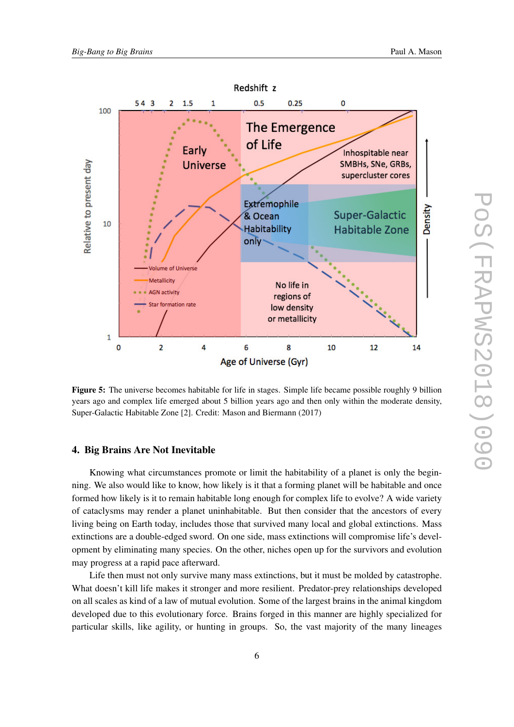

Figure 5: The universe becomes habitable for life in stages. Simple life became possible roughly 9 billion years ago and complex life emerged about 5 billion years ago and then only within the moderate density, Super-Galactic Habitable Zone [2]. Credit: Mason and Biermann (2017)

#### 4. Big Brains Are Not Inevitable

Knowing what circumstances promote or limit the habitability of a planet is only the beginning. We also would like to know, how likely is it that a forming planet will be habitable and once formed how likely is it to remain habitable long enough for complex life to evolve? A wide variety of cataclysms may render a planet uninhabitable. But then consider that the ancestors of every living being on Earth today, includes those that survived many local and global extinctions. Mass extinctions are a double-edged sword. On one side, mass extinctions will compromise life's development by eliminating many species. On the other, niches open up for the survivors and evolution may progress at a rapid pace afterward.

Life then must not only survive many mass extinctions, but it must be molded by catastrophe. What doesn't kill life makes it stronger and more resilient. Predator-prey relationships developed on all scales as kind of a law of mutual evolution. Some of the largest brains in the animal kingdom developed due to this evolutionary force. Brains forged in this manner are highly specialized for particular skills, like agility, or hunting in groups. So, the vast majority of the many lineages